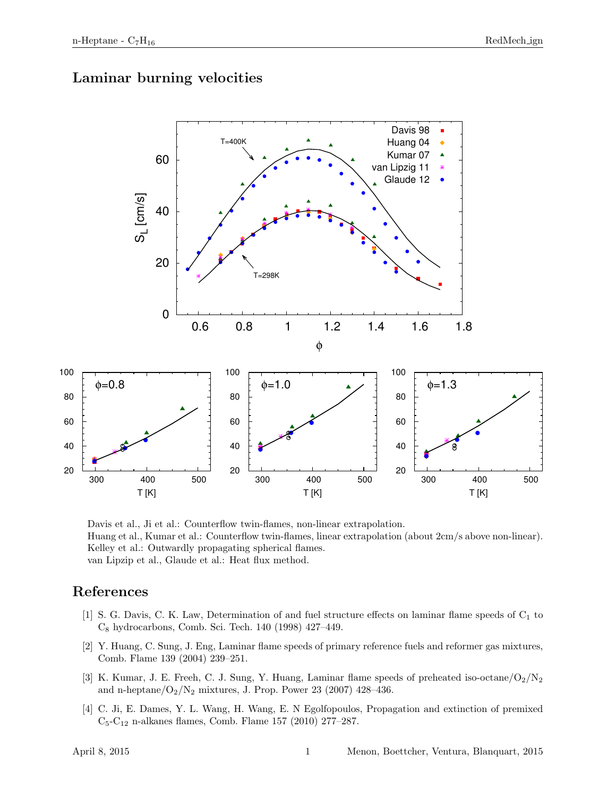### Laminar burning velocities



Davis et al., Ji et al.: Counterflow twin-flames, non-linear extrapolation. Huang et al., Kumar et al.: Counterflow twin-flames, linear extrapolation (about 2cm/s above non-linear). Kelley et al.: Outwardly propagating spherical flames. van Lipzip et al., Glaude et al.: Heat flux method.

### References

- [1] S. G. Davis, C. K. Law, Determination of and fuel structure effects on laminar flame speeds of  $C_1$  to C<sup>8</sup> hydrocarbons, Comb. Sci. Tech. 140 (1998) 427–449.
- [2] Y. Huang, C. Sung, J. Eng, Laminar flame speeds of primary reference fuels and reformer gas mixtures, Comb. Flame 139 (2004) 239–251.
- [3] K. Kumar, J. E. Freeh, C. J. Sung, Y. Huang, Laminar flame speeds of preheated iso-octane/ $O_2/N_2$ and n-heptane/ $O_2/N_2$  mixtures, J. Prop. Power 23 (2007) 428–436.
- [4] C. Ji, E. Dames, Y. L. Wang, H. Wang, E. N Egolfopoulos, Propagation and extinction of premixed  $C_5-C_{12}$  n-alkanes flames, Comb. Flame 157 (2010) 277–287.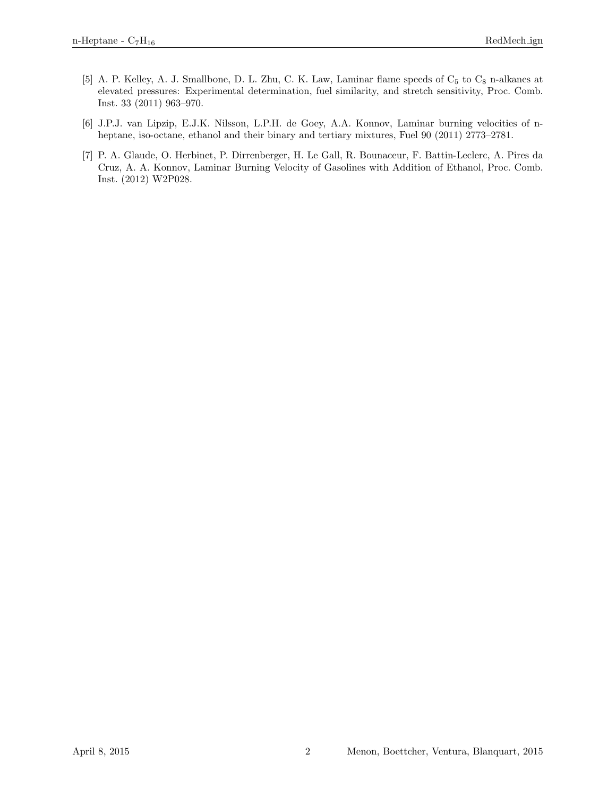- [5] A. P. Kelley, A. J. Smallbone, D. L. Zhu, C. K. Law, Laminar flame speeds of  $C_5$  to  $C_8$  n-alkanes at elevated pressures: Experimental determination, fuel similarity, and stretch sensitivity, Proc. Comb. Inst. 33 (2011) 963–970.
- [6] J.P.J. van Lipzip, E.J.K. Nilsson, L.P.H. de Goey, A.A. Konnov, Laminar burning velocities of nheptane, iso-octane, ethanol and their binary and tertiary mixtures, Fuel 90 (2011) 2773–2781.
- [7] P. A. Glaude, O. Herbinet, P. Dirrenberger, H. Le Gall, R. Bounaceur, F. Battin-Leclerc, A. Pires da Cruz, A. A. Konnov, Laminar Burning Velocity of Gasolines with Addition of Ethanol, Proc. Comb. Inst. (2012) W2P028.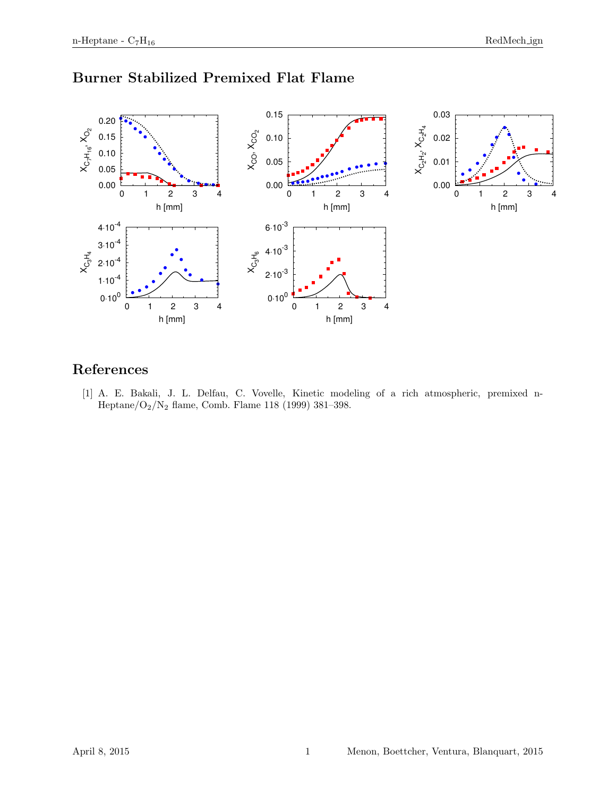

## Burner Stabilized Premixed Flat Flame

## References

[1] A. E. Bakali, J. L. Delfau, C. Vovelle, Kinetic modeling of a rich atmospheric, premixed n-Heptane/O2/N<sup>2</sup> flame, Comb. Flame 118 (1999) 381–398.